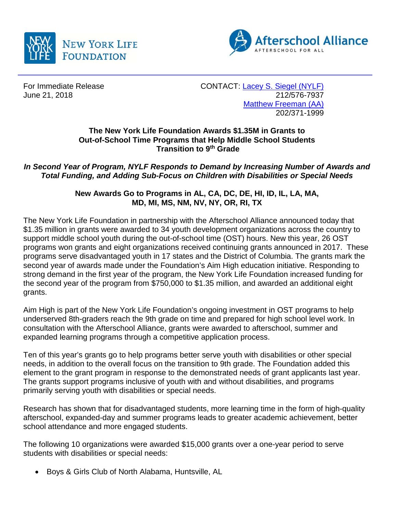



For Immediate Release CONTACT: [Lacey S. Siegel \(NYLF\)](mailto:lacey_s_siegel@newyorklife.com?subject=New%20York%20Life%20Fdtn/Afterschool%20Alliance) June 21, 2018 212/576-7937 [Matthew Freeman \(AA\)](mailto:matt@prsolutionsdc.com) 202/371-1999

## **The New York Life Foundation Awards \$1.35M in Grants to Out-of-School Time Programs that Help Middle School Students Transition to 9th Grade**

*In Second Year of Program, NYLF Responds to Demand by Increasing Number of Awards and Total Funding, and Adding Sub-Focus on Children with Disabilities or Special Needs*

> **New Awards Go to Programs in AL, CA, DC, DE, HI, ID, IL, LA, MA, MD, MI, MS, NM, NV, NY, OR, RI, TX**

The New York Life Foundation in partnership with the Afterschool Alliance announced today that \$1.35 million in grants were awarded to 34 youth development organizations across the country to support middle school youth during the out-of-school time (OST) hours. New this year, 26 OST programs won grants and eight organizations received continuing grants announced in 2017. These programs serve disadvantaged youth in 17 states and the District of Columbia. The grants mark the second year of awards made under the Foundation's Aim High education initiative. Responding to strong demand in the first year of the program, the New York Life Foundation increased funding for the second year of the program from \$750,000 to \$1.35 million, and awarded an additional eight grants.

Aim High is part of the New York Life Foundation's ongoing investment in OST programs to help underserved 8th-graders reach the 9th grade on time and prepared for high school level work. In consultation with the Afterschool Alliance, grants were awarded to afterschool, summer and expanded learning programs through a competitive application process.

Ten of this year's grants go to help programs better serve youth with disabilities or other special needs, in addition to the overall focus on the transition to 9th grade. The Foundation added this element to the grant program in response to the demonstrated needs of grant applicants last year. The grants support programs inclusive of youth with and without disabilities, and programs primarily serving youth with disabilities or special needs.

Research has shown that for disadvantaged students, more learning time in the form of high-quality afterschool, expanded-day and summer programs leads to greater academic achievement, better school attendance and more engaged students.

The following 10 organizations were awarded \$15,000 grants over a one-year period to serve students with disabilities or special needs:

• Boys & Girls Club of North Alabama, Huntsville, AL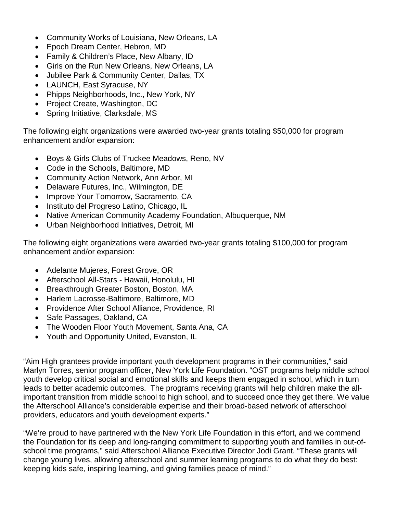- Community Works of Louisiana, New Orleans, LA
- Epoch Dream Center, Hebron, MD
- Family & Children's Place, New Albany, ID
- Girls on the Run New Orleans, New Orleans, LA
- Jubilee Park & Community Center, Dallas, TX
- LAUNCH, East Syracuse, NY
- Phipps Neighborhoods, Inc., New York, NY
- Project Create, Washington, DC
- Spring Initiative, Clarksdale, MS

The following eight organizations were awarded two-year grants totaling \$50,000 for program enhancement and/or expansion:

- Boys & Girls Clubs of Truckee Meadows, Reno, NV
- Code in the Schools, Baltimore, MD
- Community Action Network, Ann Arbor, MI
- Delaware Futures, Inc., Wilmington, DE
- Improve Your Tomorrow, Sacramento, CA
- Instituto del Progreso Latino, Chicago, IL
- Native American Community Academy Foundation, Albuquerque, NM
- Urban Neighborhood Initiatives, Detroit, MI

The following eight organizations were awarded two-year grants totaling \$100,000 for program enhancement and/or expansion:

- Adelante Mujeres, Forest Grove, OR
- Afterschool All-Stars Hawaii, Honolulu, HI
- Breakthrough Greater Boston, Boston, MA
- Harlem Lacrosse-Baltimore, Baltimore, MD
- Providence After School Alliance, Providence, RI
- Safe Passages, Oakland, CA
- The Wooden Floor Youth Movement, Santa Ana, CA
- Youth and Opportunity United, Evanston, IL

"Aim High grantees provide important youth development programs in their communities," said Marlyn Torres, senior program officer, New York Life Foundation. "OST programs help middle school youth develop critical social and emotional skills and keeps them engaged in school, which in turn leads to better academic outcomes. The programs receiving grants will help children make the allimportant transition from middle school to high school, and to succeed once they get there. We value the Afterschool Alliance's considerable expertise and their broad-based network of afterschool providers, educators and youth development experts."

"We're proud to have partnered with the New York Life Foundation in this effort, and we commend the Foundation for its deep and long-ranging commitment to supporting youth and families in out-ofschool time programs," said Afterschool Alliance Executive Director Jodi Grant. "These grants will change young lives, allowing afterschool and summer learning programs to do what they do best: keeping kids safe, inspiring learning, and giving families peace of mind."